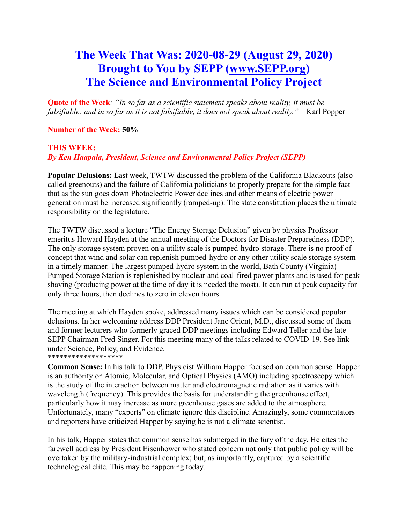# **The Week That Was: 2020-08-29 (August 29, 2020) Brought to You by SEPP [\(www.SEPP.org\)](http://www.sepp.org/) The Science and Environmental Policy Project**

**Quote of the Week***: "In so far as a scientific statement speaks about reality, it must be falsifiable: and in so far as it is not falsifiable, it does not speak about reality." –* Karl Popper

**Number of the Week: 50%**

# **THIS WEEK:** *By Ken Haapala, President, Science and Environmental Policy Project (SEPP)*

**Popular Delusions:** Last week, TWTW discussed the problem of the California Blackouts (also called greenouts) and the failure of California politicians to properly prepare for the simple fact that as the sun goes down Photoelectric Power declines and other means of electric power generation must be increased significantly (ramped-up). The state constitution places the ultimate responsibility on the legislature.

The TWTW discussed a lecture "The Energy Storage Delusion" given by physics Professor emeritus Howard Hayden at the annual meeting of the Doctors for Disaster Preparedness (DDP). The only storage system proven on a utility scale is pumped-hydro storage. There is no proof of concept that wind and solar can replenish pumped-hydro or any other utility scale storage system in a timely manner. The largest pumped-hydro system in the world, Bath County (Virginia) Pumped Storage Station is replenished by nuclear and coal-fired power plants and is used for peak shaving (producing power at the time of day it is needed the most). It can run at peak capacity for only three hours, then declines to zero in eleven hours.

The meeting at which Hayden spoke, addressed many issues which can be considered popular delusions. In her welcoming address DDP President Jane Orient, M.D., discussed some of them and former lecturers who formerly graced DDP meetings including Edward Teller and the late SEPP Chairman Fred Singer. For this meeting many of the talks related to COVID-19. See link under Science, Policy, and Evidence. \*\*\*\*\*\*\*\*\*\*\*\*\*\*\*\*\*\*\*

**Common Sense:** In his talk to DDP, Physicist William Happer focused on common sense. Happer is an authority on Atomic, Molecular, and Optical Physics (AMO) including spectroscopy which is the study of the interaction between matter and electromagnetic radiation as it varies with wavelength (frequency). This provides the basis for understanding the greenhouse effect, particularly how it may increase as more greenhouse gases are added to the atmosphere. Unfortunately, many "experts" on climate ignore this discipline. Amazingly, some commentators and reporters have criticized Happer by saying he is not a climate scientist.

In his talk, Happer states that common sense has submerged in the fury of the day. He cites the farewell address by President Eisenhower who stated concern not only that public policy will be overtaken by the military-industrial complex; but, as importantly, captured by a scientific technological elite. This may be happening today.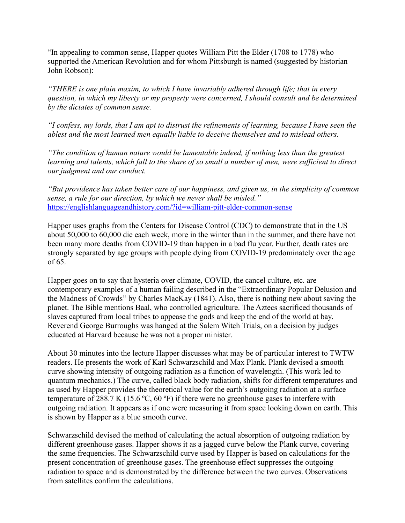"In appealing to common sense, Happer quotes William Pitt the Elder (1708 to 1778) who supported the American Revolution and for whom Pittsburgh is named (suggested by historian John Robson):

*"THERE is one plain maxim, to which I have invariably adhered through life; that in every question, in which my liberty or my property were concerned, I should consult and be determined by the dictates of common sense.*

*"I confess, my lords, that I am apt to distrust the refinements of learning, because I have seen the ablest and the most learned men equally liable to deceive themselves and to mislead others.*

*"The condition of human nature would be lamentable indeed, if nothing less than the greatest learning and talents, which fall to the share of so small a number of men, were sufficient to direct our judgment and our conduct.*

*"But providence has taken better care of our happiness, and given us, in the simplicity of common sense, a rule for our direction, by which we never shall be misled."* <https://englishlanguageandhistory.com/?id=william-pitt-elder-common-sense>

Happer uses graphs from the Centers for Disease Control (CDC) to demonstrate that in the US about 50,000 to 60,000 die each week, more in the winter than in the summer, and there have not been many more deaths from COVID-19 than happen in a bad flu year. Further, death rates are strongly separated by age groups with people dying from COVID-19 predominately over the age of 65.

Happer goes on to say that hysteria over climate, COVID, the cancel culture, etc. are contemporary examples of a human failing described in the "Extraordinary Popular Delusion and the Madness of Crowds" by Charles MacKay (1841). Also, there is nothing new about saving the planet. The Bible mentions Baal, who controlled agriculture. The Aztecs sacrificed thousands of slaves captured from local tribes to appease the gods and keep the end of the world at bay. Reverend George Burroughs was hanged at the Salem Witch Trials, on a decision by judges educated at Harvard because he was not a proper minister.

About 30 minutes into the lecture Happer discusses what may be of particular interest to TWTW readers. He presents the work of Karl Schwarzschild and Max Plank. Plank devised a smooth curve showing intensity of outgoing radiation as a function of wavelength. (This work led to quantum mechanics.) The curve, called black body radiation, shifts for different temperatures and as used by Happer provides the theoretical value for the earth's outgoing radiation at a surface temperature of 288.7 K (15.6 ºC, 60 ºF) if there were no greenhouse gases to interfere with outgoing radiation. It appears as if one were measuring it from space looking down on earth. This is shown by Happer as a blue smooth curve.

Schwarzschild devised the method of calculating the actual absorption of outgoing radiation by different greenhouse gases. Happer shows it as a jagged curve below the Plank curve, covering the same frequencies. The Schwarzschild curve used by Happer is based on calculations for the present concentration of greenhouse gases. The greenhouse effect suppresses the outgoing radiation to space and is demonstrated by the difference between the two curves. Observations from satellites confirm the calculations.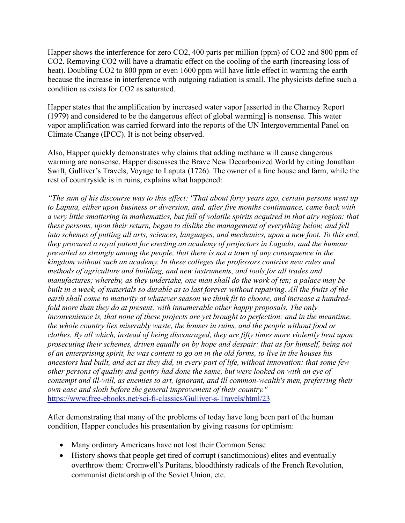Happer shows the interference for zero CO2, 400 parts per million (ppm) of CO2 and 800 ppm of CO2. Removing CO2 will have a dramatic effect on the cooling of the earth (increasing loss of heat). Doubling CO2 to 800 ppm or even 1600 ppm will have little effect in warming the earth because the increase in interference with outgoing radiation is small. The physicists define such a condition as exists for CO2 as saturated.

Happer states that the amplification by increased water vapor [asserted in the Charney Report (1979) and considered to be the dangerous effect of global warming] is nonsense. This water vapor amplification was carried forward into the reports of the UN Intergovernmental Panel on Climate Change (IPCC). It is not being observed.

Also, Happer quickly demonstrates why claims that adding methane will cause dangerous warming are nonsense. Happer discusses the Brave New Decarbonized World by citing Jonathan Swift, Gulliver's Travels, Voyage to Laputa (1726). The owner of a fine house and farm, while the rest of countryside is in ruins, explains what happened:

*"The sum of his discourse was to this effect: "That about forty years ago, certain persons went up to Laputa, either upon business or diversion, and, after five months continuance, came back with a very little smattering in mathematics, but full of volatile spirits acquired in that airy region: that these persons, upon their return, began to dislike the management of everything below, and fell into schemes of putting all arts, sciences, languages, and mechanics, upon a new foot. To this end, they procured a royal patent for erecting an academy of projectors in Lagado; and the humour prevailed so strongly among the people, that there is not a town of any consequence in the kingdom without such an academy. In these colleges the professors contrive new rules and methods of agriculture and building, and new instruments, and tools for all trades and manufactures; whereby, as they undertake, one man shall do the work of ten; a palace may be built in a week, of materials so durable as to last forever without repairing. All the fruits of the earth shall come to maturity at whatever season we think fit to choose, and increase a hundred*fold more than they do at present; with innumerable other happy proposals. The only *inconvenience is, that none of these projects are yet brought to perfection; and in the meantime, the whole country lies miserably waste, the houses in ruins, and the people without food or clothes. By all which, instead of being discouraged, they are fifty times more violently bent upon prosecuting their schemes, driven equally on by hope and despair: that as for himself, being not of an enterprising spirit, he was content to go on in the old forms, to live in the houses his ancestors had built, and act as they did, in every part of life, without innovation: that some few other persons of quality and gentry had done the same, but were looked on with an eye of contempt and ill-will, as enemies to art, ignorant, and ill common-wealth's men, preferring their own ease and sloth before the general improvement of their country."* <https://www.free-ebooks.net/sci-fi-classics/Gulliver-s-Travels/html/23>

After demonstrating that many of the problems of today have long been part of the human condition, Happer concludes his presentation by giving reasons for optimism:

- Many ordinary Americans have not lost their Common Sense
- History shows that people get tired of corrupt (sanctimonious) elites and eventually overthrow them: Cromwell's Puritans, bloodthirsty radicals of the French Revolution, communist dictatorship of the Soviet Union, etc.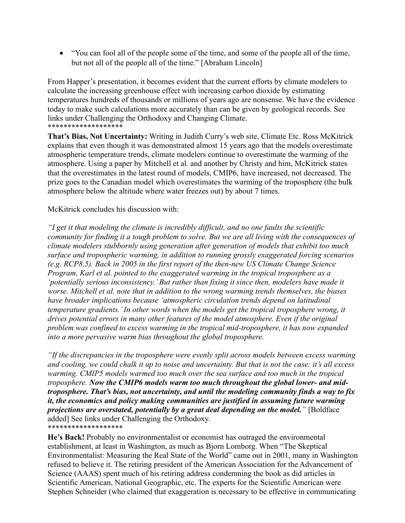• "You can fool all of the people some of the time, and some of the people all of the time, but not all of the people all of the time." [Abraham Lincoln]

From Happer's presentation, it becomes evident that the current efforts by climate modelers to calculate the increasing greenhouse effect with increasing carbon dioxide by estimating temperatures hundreds of thousands or millions of years ago are nonsense. We have the evidence today to make such calculations more accurately than can be given by geological records. See links under Challenging the Orthodoxy and Changing Climate. \*\*\*\*\*\*\*\*\*\*\*\*\*\*\*\*\*\*\*

**That's Bias, Not Uncertainty:** Writing in Judith Curry's web site, Climate Etc. Ross McKitrick explains that even though it was demonstrated almost 15 years ago that the models overestimate atmospheric temperature trends, climate modelers continue to overestimate the warming of the atmosphere. Using a paper by Mitchell et al. and another by Christy and him, McKitrick states that the overestimates in the latest round of models, CMIP6, have increased, not decreased. The prize goes to the Canadian model which overestimates the warming of the troposphere (the bulk atmosphere below the altitude where water freezes out) by about 7 times.

#### McKitrick concludes his discussion with:

*"I get it that modeling the climate is incredibly difficult, and no one faults the scientific community for finding it a tough problem to solve. But we are all living with the consequences of climate modelers stubbornly using generation after generation of models that exhibit too much surface and tropospheric warming, in addition to running grossly exaggerated forcing scenarios (e.g. RCP8.5). Back in 2005 in the first report of the then-new US Climate Change Science Program, Karl et al. pointed to the exaggerated warming in the tropical troposphere as a 'potentially serious inconsistency.'But rather than fixing it since then, modelers have made it worse. Mitchell et al. note that in addition to the wrong warming trends themselves, the biases have broader implications because 'atmospheric circulation trends depend on latitudinal temperature gradients.'In other words when the models get the tropical troposphere wrong, it drives potential errors in many other features of the model atmosphere. Even if the original problem was confined to excess warming in the tropical mid-troposphere, it has now expanded into a more pervasive warm bias throughout the global troposphere.*

*"If the discrepancies in the troposphere were evenly split across models between excess warming and cooling, we could chalk it up to noise and uncertainty. But that is not the case: it's all excess warming. CMIP5 models warmed too much over the sea surface and too much in the tropical troposphere. Now the CMIP6 models warm too much throughout the global lower- and midtroposphere. That's bias, not uncertainty, and until the modeling community finds a way to fix it, the economics and policy making communities are justified in assuming future warming projections are overstated, potentially by a great deal depending on the model."* [Boldface added] See links under Challenging the Orthodoxy. \*\*\*\*\*\*\*\*\*\*\*\*\*\*\*\*\*\*\*

**He's Back!** Probably no environmentalist or economist has outraged the environmental establishment, at least in Washington, as much as Bjorn Lomborg. When "The Skeptical Environmentalist: Measuring the Real State of the World" came out in 2001, many in Washington refused to believe it. The retiring president of the American Association for the Advancement of Science (AAAS) spent much of his retiring address condemning the book as did articles in Scientific American, National Geographic, etc. The experts for the Scientific American were Stephen Schneider (who claimed that exaggeration is necessary to be effective in communicating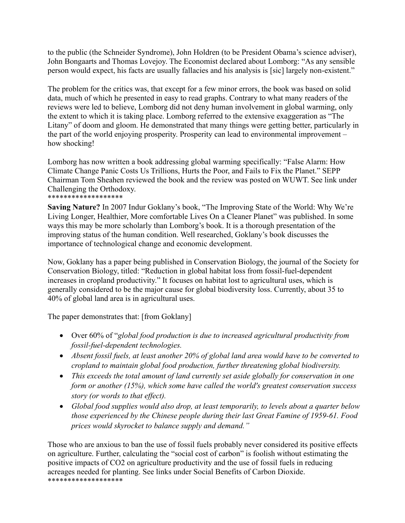to the public (the Schneider Syndrome), John Holdren (to be President Obama's science adviser), John Bongaarts and Thomas Lovejoy. The Economist declared about Lomborg: "As any sensible person would expect, his facts are usually fallacies and his analysis is [sic] largely non-existent."

The problem for the critics was, that except for a few minor errors, the book was based on solid data, much of which he presented in easy to read graphs. Contrary to what many readers of the reviews were led to believe, Lomborg did not deny human involvement in global warming, only the extent to which it is taking place. Lomborg referred to the extensive exaggeration as "The Litany" of doom and gloom. He demonstrated that many things were getting better, particularly in the part of the world enjoying prosperity. Prosperity can lead to environmental improvement – how shocking!

Lomborg has now written a book addressing global warming specifically: "False Alarm: How Climate Change Panic Costs Us Trillions, Hurts the Poor, and Fails to Fix the Planet." SEPP Chairman Tom Sheahen reviewed the book and the review was posted on WUWT. See link under Challenging the Orthodoxy. \*\*\*\*\*\*\*\*\*\*\*\*\*\*\*\*\*

**Saving Nature?** In 2007 Indur Goklany's book, "The Improving State of the World: Why We're Living Longer, Healthier, More comfortable Lives On a Cleaner Planet" was published. In some ways this may be more scholarly than Lomborg's book. It is a thorough presentation of the improving status of the human condition. Well researched, Goklany's book discusses the importance of technological change and economic development.

Now, Goklany has a paper being published in Conservation Biology, the journal of the Society for Conservation Biology, titled: "Reduction in global habitat loss from fossil‐fuel‐dependent increases in cropland productivity." It focuses on habitat lost to agricultural uses, which is generally considered to be the major cause for global biodiversity loss. Currently, about 35 to 40% of global land area is in agricultural uses.

The paper demonstrates that: [from Goklany]

- Over 60% of "*global food production is due to increased agricultural productivity from fossil-fuel-dependent technologies.*
- *Absent fossil fuels, at least another 20% of global land area would have to be converted to cropland to maintain global food production, further threatening global biodiversity.*
- *This exceeds the total amount of land currently set aside globally for conservation in one form or another (15%), which some have called the world's greatest conservation success story (or words to that effect).*
- *Global food supplies would also drop, at least temporarily, to levels about a quarter below those experienced by the Chinese people during their last Great Famine of 1959-61. Food prices would skyrocket to balance supply and demand."*

Those who are anxious to ban the use of fossil fuels probably never considered its positive effects on agriculture. Further, calculating the "social cost of carbon" is foolish without estimating the positive impacts of CO2 on agriculture productivity and the use of fossil fuels in reducing acreages needed for planting. See links under Social Benefits of Carbon Dioxide. \*\*\*\*\*\*\*\*\*\*\*\*\*\*\*\*\*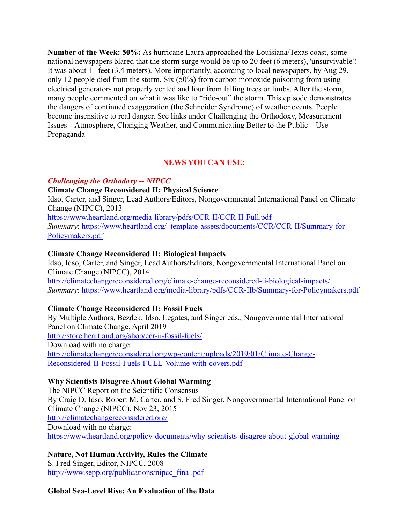**Number of the Week: 50%:** As hurricane Laura approached the Louisiana/Texas coast, some national newspapers blared that the storm surge would be up to 20 feet (6 meters), 'unsurvivable'! It was about 11 feet (3.4 meters). More importantly, according to local newspapers, by Aug 29, only 12 people died from the storm. Six (50%) from carbon monoxide poisoning from using electrical generators not properly vented and four from falling trees or limbs. After the storm, many people commented on what it was like to "ride-out" the storm. This episode demonstrates the dangers of continued exaggeration (the Schneider Syndrome) of weather events. People become insensitive to real danger. See links under Challenging the Orthodoxy, Measurement Issues – Atmosphere, Changing Weather, and Communicating Better to the Public – Use Propaganda

## **NEWS YOU CAN USE:**

#### *Challenging the Orthodoxy -- NIPCC*

**Climate Change Reconsidered II: Physical Science**

Idso, Carter, and Singer, Lead Authors/Editors, Nongovernmental International Panel on Climate Change (NIPCC), 2013

<https://www.heartland.org/media-library/pdfs/CCR-II/CCR-II-Full.pdf> *Summary*: [https://www.heartland.org/\\_template-assets/documents/CCR/CCR-II/Summary-for-](https://www.heartland.org/_template-assets/documents/CCR/CCR-II/Summary-for-Policymakers.pdf)[Policymakers.pdf](https://www.heartland.org/_template-assets/documents/CCR/CCR-II/Summary-for-Policymakers.pdf)

#### **Climate Change Reconsidered II: Biological Impacts**

Idso, Idso, Carter, and Singer, Lead Authors/Editors, Nongovernmental International Panel on Climate Change (NIPCC), 2014 <http://climatechangereconsidered.org/climate-change-reconsidered-ii-biological-impacts/> *Summary*:<https://www.heartland.org/media-library/pdfs/CCR-IIb/Summary-for-Policymakers.pdf>

## **Climate Change Reconsidered II: Fossil Fuels**

By Multiple Authors, Bezdek, Idso, Legates, and Singer eds., Nongovernmental International Panel on Climate Change, April 2019 <http://store.heartland.org/shop/ccr-ii-fossil-fuels/> Download with no charge: [http://climatechangereconsidered.org/wp-content/uploads/2019/01/Climate-Change-](http://climatechangereconsidered.org/wp-content/uploads/2019/01/Climate-Change-Reconsidered-II-Fossil-Fuels-FULL-Volume-with-covers.pdf)[Reconsidered-II-Fossil-Fuels-FULL-Volume-with-covers.pdf](http://climatechangereconsidered.org/wp-content/uploads/2019/01/Climate-Change-Reconsidered-II-Fossil-Fuels-FULL-Volume-with-covers.pdf)

## **Why Scientists Disagree About Global Warming**

The NIPCC Report on the Scientific Consensus By Craig D. Idso, Robert M. Carter, and S. Fred Singer, Nongovernmental International Panel on Climate Change (NIPCC), Nov 23, 2015 <http://climatechangereconsidered.org/> Download with no charge: <https://www.heartland.org/policy-documents/why-scientists-disagree-about-global-warming>

## **Nature, Not Human Activity, Rules the Climate**

S. Fred Singer, Editor, NIPCC, 2008 [http://www.sepp.org/publications/nipcc\\_final.pdf](http://www.sepp.org/publications/nipcc_final.pdf)

## **Global Sea-Level Rise: An Evaluation of the Data**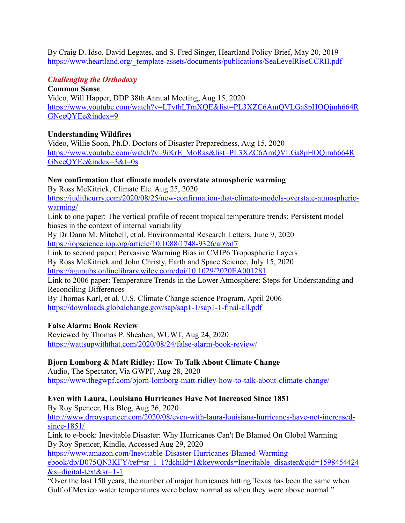By Craig D. Idso, David Legates, and S. Fred Singer, Heartland Policy Brief, May 20, 2019 [https://www.heartland.org/\\_template-assets/documents/publications/SeaLevelRiseCCRII.pdf](https://www.heartland.org/_template-assets/documents/publications/SeaLevelRiseCCRII.pdf)

#### *Challenging the Orthodoxy*

**Common Sense** Video, Will Happer, DDP 38th Annual Meeting, Aug 15, 2020 [https://www.youtube.com/watch?v=LTvthLTmXQE&list=PL3XZC6AmQVLGa8pHOQjmh664R](https://www.youtube.com/watch?v=LTvthLTmXQE&list=PL3XZC6AmQVLGa8pHOQjmh664RGNeeQYEe&index=9) [GNeeQYEe&index=9](https://www.youtube.com/watch?v=LTvthLTmXQE&list=PL3XZC6AmQVLGa8pHOQjmh664RGNeeQYEe&index=9)

#### **Understanding Wildfires**

Video, Willie Soon, Ph.D. Doctors of Disaster Preparedness, Aug 15, 2020 [https://www.youtube.com/watch?v=9iKrE\\_MoRas&list=PL3XZC6AmQVLGa8pHOQjmh664R](https://www.youtube.com/watch?v=9iKrE_MoRas&list=PL3XZC6AmQVLGa8pHOQjmh664RGNeeQYEe&index=3&t=0s) [GNeeQYEe&index=3&t=0s](https://www.youtube.com/watch?v=9iKrE_MoRas&list=PL3XZC6AmQVLGa8pHOQjmh664RGNeeQYEe&index=3&t=0s)

#### **New confirmation that climate models overstate atmospheric warming**

By Ross McKitrick, Climate Etc. Aug 25, 2020

[https://judithcurry.com/2020/08/25/new-confirmation-that-climate-models-overstate-atmospheric](https://judithcurry.com/2020/08/25/new-confirmation-that-climate-models-overstate-atmospheric-warming/)[warming/](https://judithcurry.com/2020/08/25/new-confirmation-that-climate-models-overstate-atmospheric-warming/)

Link to one paper: The vertical profile of recent tropical temperature trends: Persistent model biases in the context of internal variability

By Dr Dann M. Mitchell, et al. Environmental Research Letters, June 9, 2020 <https://iopscience.iop.org/article/10.1088/1748-9326/ab9af7>

Link to second paper: Pervasive Warming Bias in CMIP6 Tropospheric Layers By Ross McKitrick and John Christy, Earth and Space Science, July 15, 2020 <https://agupubs.onlinelibrary.wiley.com/doi/10.1029/2020EA001281>

Link to 2006 paper: Temperature Trends in the Lower Atmosphere: Steps for Understanding and Reconciling Differences

By Thomas Karl, et al. U.S. Climate Change science Program, April 2006 <https://downloads.globalchange.gov/sap/sap1-1/sap1-1-final-all.pdf>

## **False Alarm: Book Review**

Reviewed by Thomas P. Sheahen, WUWT, Aug 24, 2020 <https://wattsupwiththat.com/2020/08/24/false-alarm-book-review/>

## **Bjorn Lomborg & Matt Ridley: How To Talk About Climate Change**

Audio, The Spectator, Via GWPF, Aug 28, 2020 <https://www.thegwpf.com/bjorn-lomborg-matt-ridley-how-to-talk-about-climate-change/>

## **Even with Laura, Louisiana Hurricanes Have Not Increased Since 1851**

By Roy Spencer, His Blog, Aug 26, 2020

[http://www.drroyspencer.com/2020/08/even-with-laura-louisiana-hurricanes-have-not-increased](http://www.drroyspencer.com/2020/08/even-with-laura-louisiana-hurricanes-have-not-increased-since-1851/)[since-1851/](http://www.drroyspencer.com/2020/08/even-with-laura-louisiana-hurricanes-have-not-increased-since-1851/)

Link to e-book: Inevitable Disaster: Why Hurricanes Can't Be Blamed On Global Warming By Roy Spencer, Kindle, Accessed Aug 29, 2020

[https://www.amazon.com/Inevitable-Disaster-Hurricanes-Blamed-Warming](https://www.amazon.com/Inevitable-Disaster-Hurricanes-Blamed-Warming-ebook/dp/B075QN3KFY/ref=sr_1_1?dchild=1&keywords=Inevitable+disaster&qid=1598454424&s=digital-text&sr=1-1)[ebook/dp/B075QN3KFY/ref=sr\\_1\\_1?dchild=1&keywords=Inevitable+disaster&qid=1598454424](https://www.amazon.com/Inevitable-Disaster-Hurricanes-Blamed-Warming-ebook/dp/B075QN3KFY/ref=sr_1_1?dchild=1&keywords=Inevitable+disaster&qid=1598454424&s=digital-text&sr=1-1)  $&$ s=digital-text $&$ sr=1-1

"Over the last 150 years, the number of major hurricanes hitting Texas has been the same when Gulf of Mexico water temperatures were below normal as when they were above normal."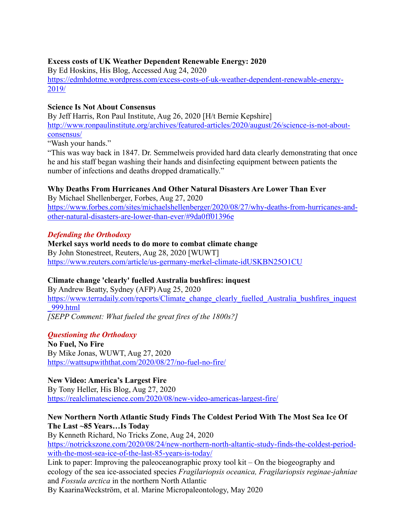## **Excess costs of UK Weather Dependent Renewable Energy: 2020**

By Ed Hoskins, His Blog, Accessed Aug 24, 2020 [https://edmhdotme.wordpress.com/excess-costs-of-uk-weather-dependent-renewable-energy-](https://edmhdotme.wordpress.com/excess-costs-of-uk-weather-dependent-renewable-energy-2019/)[2019/](https://edmhdotme.wordpress.com/excess-costs-of-uk-weather-dependent-renewable-energy-2019/)

#### **Science Is Not About Consensus**

By Jeff Harris, Ron Paul Institute, Aug 26, 2020 [H/t Bernie Kepshire] [http://www.ronpaulinstitute.org/archives/featured-articles/2020/august/26/science-is-not-about](http://www.ronpaulinstitute.org/archives/featured-articles/2020/august/26/science-is-not-about-consensus/)[consensus/](http://www.ronpaulinstitute.org/archives/featured-articles/2020/august/26/science-is-not-about-consensus/)

"Wash your hands."

"This was way back in 1847. Dr. Semmelweis provided hard data clearly demonstrating that once he and his staff began washing their hands and disinfecting equipment between patients the number of infections and deaths dropped dramatically."

## **Why Deaths From Hurricanes And Other Natural Disasters Are Lower Than Ever**

By Michael Shellenberger, Forbes, Aug 27, 2020 [https://www.forbes.com/sites/michaelshellenberger/2020/08/27/why-deaths-from-hurricanes-and](https://www.forbes.com/sites/michaelshellenberger/2020/08/27/why-deaths-from-hurricanes-and-other-natural-disasters-are-lower-than-ever/#9da0ff01396e)[other-natural-disasters-are-lower-than-ever/#9da0ff01396e](https://www.forbes.com/sites/michaelshellenberger/2020/08/27/why-deaths-from-hurricanes-and-other-natural-disasters-are-lower-than-ever/#9da0ff01396e)

#### *Defending the Orthodoxy*

## **Merkel says world needs to do more to combat climate change** By John Stonestreet, Reuters, Aug 28, 2020 [WUWT] <https://www.reuters.com/article/us-germany-merkel-climate-idUSKBN25O1CU>

## **Climate change 'clearly' fuelled Australia bushfires: inquest**

By Andrew Beatty, Sydney (AFP) Aug 25, 2020 [https://www.terradaily.com/reports/Climate\\_change\\_clearly\\_fuelled\\_Australia\\_bushfires\\_inquest](https://www.terradaily.com/reports/Climate_change_clearly_fuelled_Australia_bushfires_inquest_999.html) [\\_999.html](https://www.terradaily.com/reports/Climate_change_clearly_fuelled_Australia_bushfires_inquest_999.html) *[SEPP Comment: What fueled the great fires of the 1800s?]*

#### *Questioning the Orthodoxy*

**No Fuel, No Fire** By Mike Jonas, WUWT, Aug 27, 2020 <https://wattsupwiththat.com/2020/08/27/no-fuel-no-fire/>

#### **New Video: America's Largest Fire**

By Tony Heller, His Blog, Aug 27, 2020 <https://realclimatescience.com/2020/08/new-video-americas-largest-fire/>

## **New Northern North Atlantic Study Finds The Coldest Period With The Most Sea Ice Of The Last ~85 Years…Is Today**

By Kenneth Richard, No Tricks Zone, Aug 24, 2020 [https://notrickszone.com/2020/08/24/new-northern-north-altantic-study-finds-the-coldest-period](https://notrickszone.com/2020/08/24/new-northern-north-altantic-study-finds-the-coldest-period-with-the-most-sea-ice-of-the-last-85-years-is-today/)[with-the-most-sea-ice-of-the-last-85-years-is-today/](https://notrickszone.com/2020/08/24/new-northern-north-altantic-study-finds-the-coldest-period-with-the-most-sea-ice-of-the-last-85-years-is-today/) Link to paper: Improving the paleoceanographic proxy tool kit – On the biogeography and

ecology of the sea ice-associated species *Fragilariopsis oceanica, Fragilariopsis reginae-jahniae* and *Fossula arctica* in the northern North Atlantic By KaarinaWeckström, et al. Marine Micropaleontology, May 2020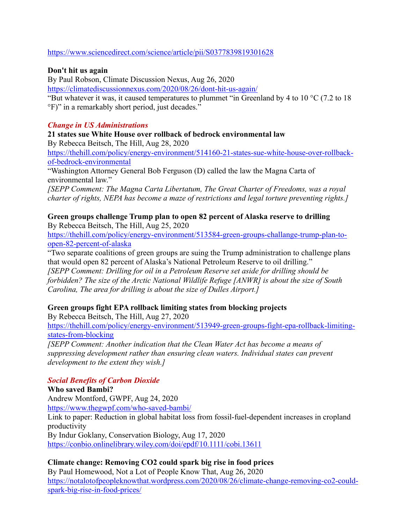## <https://www.sciencedirect.com/science/article/pii/S0377839819301628>

## **Don't hit us again**

By Paul Robson, Climate Discussion Nexus, Aug 26, 2020

<https://climatediscussionnexus.com/2020/08/26/dont-hit-us-again/>

"But whatever it was, it caused temperatures to plummet "in Greenland by 4 to 10 °C (7.2 to 18) °F)" in a remarkably short period, just decades."

# *Change in US Administrations*

**21 states sue White House over rollback of bedrock environmental law**

By Rebecca Beitsch, The Hill, Aug 28, 2020

[https://thehill.com/policy/energy-environment/514160-21-states-sue-white-house-over-rollback](https://thehill.com/policy/energy-environment/514160-21-states-sue-white-house-over-rollback-of-bedrock-environmental)[of-bedrock-environmental](https://thehill.com/policy/energy-environment/514160-21-states-sue-white-house-over-rollback-of-bedrock-environmental)

"Washington Attorney General Bob Ferguson (D) called the law the Magna Carta of environmental law."

*[SEPP Comment: The Magna Carta Libertatum, The Great Charter of Freedoms, was a royal charter of rights, NEPA has become a maze of restrictions and legal torture preventing rights.]*

**Green groups challenge Trump plan to open 82 percent of Alaska reserve to drilling** By Rebecca Beitsch, The Hill, Aug 25, 2020

[https://thehill.com/policy/energy-environment/513584-green-groups-challange-trump-plan-to](https://thehill.com/policy/energy-environment/513584-green-groups-challange-trump-plan-to-open-82-percent-of-alaska)[open-82-percent-of-alaska](https://thehill.com/policy/energy-environment/513584-green-groups-challange-trump-plan-to-open-82-percent-of-alaska)

"Two separate coalitions of green groups are suing the Trump administration to challenge plans that would open 82 percent of Alaska's National Petroleum Reserve to oil drilling." *[SEPP Comment: Drilling for oil in a Petroleum Reserve set aside for drilling should be* 

*forbidden? The size of the Arctic National Wildlife Refuge [ANWR] is about the size of South Carolina, The area for drilling is about the size of Dulles Airport.]*

# **Green groups fight EPA rollback limiting states from blocking projects**

By Rebecca Beitsch, The Hill, Aug 27, 2020

[https://thehill.com/policy/energy-environment/513949-green-groups-fight-epa-rollback-limiting](https://thehill.com/policy/energy-environment/513949-green-groups-fight-epa-rollback-limiting-states-from-blocking)[states-from-blocking](https://thehill.com/policy/energy-environment/513949-green-groups-fight-epa-rollback-limiting-states-from-blocking)

*[SEPP Comment: Another indication that the Clean Water Act has become a means of suppressing development rather than ensuring clean waters. Individual states can prevent development to the extent they wish.]*

# *Social Benefits of Carbon Dioxide*

## **Who saved Bambi?** Andrew Montford, GWPF, Aug 24, 2020 <https://www.thegwpf.com/who-saved-bambi/> Link to paper: Reduction in global habitat loss from fossil‐fuel‐dependent increases in cropland productivity By Indur Goklany, Conservation Biology, Aug 17, 2020 <https://conbio.onlinelibrary.wiley.com/doi/epdf/10.1111/cobi.13611>

# **Climate change: Removing CO2 could spark big rise in food prices**

By Paul Homewood, Not a Lot of People Know That, Aug 26, 2020 [https://notalotofpeopleknowthat.wordpress.com/2020/08/26/climate-change-removing-co2-could](https://notalotofpeopleknowthat.wordpress.com/2020/08/26/climate-change-removing-co2-could-spark-big-rise-in-food-prices/)[spark-big-rise-in-food-prices/](https://notalotofpeopleknowthat.wordpress.com/2020/08/26/climate-change-removing-co2-could-spark-big-rise-in-food-prices/)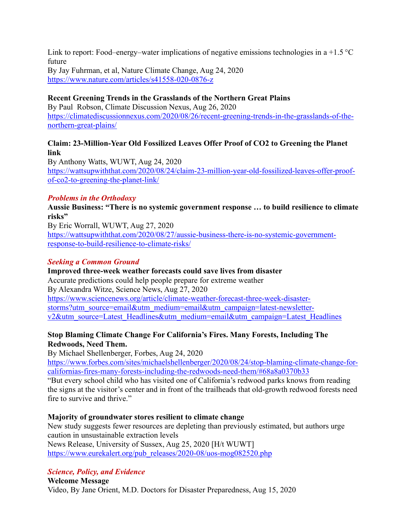Link to report: Food–energy–water implications of negative emissions technologies in a +1.5  $\degree$ C future

By Jay Fuhrman, et al, Nature Climate Change, Aug 24, 2020 <https://www.nature.com/articles/s41558-020-0876-z>

## **Recent Greening Trends in the Grasslands of the Northern Great Plains**

By Paul Robson, Climate Discussion Nexus, Aug 26, 2020 [https://climatediscussionnexus.com/2020/08/26/recent-greening-trends-in-the-grasslands-of-the](https://climatediscussionnexus.com/2020/08/26/recent-greening-trends-in-the-grasslands-of-the-northern-great-plains/)[northern-great-plains/](https://climatediscussionnexus.com/2020/08/26/recent-greening-trends-in-the-grasslands-of-the-northern-great-plains/)

#### **Claim: 23-Million-Year Old Fossilized Leaves Offer Proof of CO2 to Greening the Planet link**

By Anthony Watts, WUWT, Aug 24, 2020 [https://wattsupwiththat.com/2020/08/24/claim-23-million-year-old-fossilized-leaves-offer-proof](https://wattsupwiththat.com/2020/08/24/claim-23-million-year-old-fossilized-leaves-offer-proof-of-co2-to-greening-the-planet-link/)[of-co2-to-greening-the-planet-link/](https://wattsupwiththat.com/2020/08/24/claim-23-million-year-old-fossilized-leaves-offer-proof-of-co2-to-greening-the-planet-link/)

## *Problems in the Orthodoxy*

**Aussie Business: "There is no systemic government response … to build resilience to climate risks"**

By Eric Worrall, WUWT, Aug 27, 2020 [https://wattsupwiththat.com/2020/08/27/aussie-business-there-is-no-systemic-government](https://wattsupwiththat.com/2020/08/27/aussie-business-there-is-no-systemic-government-response-to-build-resilience-to-climate-risks/)[response-to-build-resilience-to-climate-risks/](https://wattsupwiththat.com/2020/08/27/aussie-business-there-is-no-systemic-government-response-to-build-resilience-to-climate-risks/)

## *Seeking a Common Ground*

**Improved three-week weather forecasts could save lives from disaster** Accurate predictions could help people prepare for extreme weather By Alexandra Witze, Science News, Aug 27, 2020 [https://www.sciencenews.org/article/climate-weather-forecast-three-week-disaster](https://www.sciencenews.org/article/climate-weather-forecast-three-week-disaster-storms?utm_source=email&utm_medium=email&utm_campaign=latest-newsletter-v2&utm_source=Latest_Headlines&utm_medium=email&utm_campaign=Latest_Headlines)[storms?utm\\_source=email&utm\\_medium=email&utm\\_campaign=latest-newsletter](https://www.sciencenews.org/article/climate-weather-forecast-three-week-disaster-storms?utm_source=email&utm_medium=email&utm_campaign=latest-newsletter-v2&utm_source=Latest_Headlines&utm_medium=email&utm_campaign=Latest_Headlines)[v2&utm\\_source=Latest\\_Headlines&utm\\_medium=email&utm\\_campaign=Latest\\_Headlines](https://www.sciencenews.org/article/climate-weather-forecast-three-week-disaster-storms?utm_source=email&utm_medium=email&utm_campaign=latest-newsletter-v2&utm_source=Latest_Headlines&utm_medium=email&utm_campaign=Latest_Headlines)

## **Stop Blaming Climate Change For California's Fires. Many Forests, Including The Redwoods, Need Them.**

By Michael Shellenberger, Forbes, Aug 24, 2020

[https://www.forbes.com/sites/michaelshellenberger/2020/08/24/stop-blaming-climate-change-for](https://www.forbes.com/sites/michaelshellenberger/2020/08/24/stop-blaming-climate-change-for-californias-fires-many-forests-including-the-redwoods-need-them/#68a8a0370b33)[californias-fires-many-forests-including-the-redwoods-need-them/#68a8a0370b33](https://www.forbes.com/sites/michaelshellenberger/2020/08/24/stop-blaming-climate-change-for-californias-fires-many-forests-including-the-redwoods-need-them/#68a8a0370b33)

"But every school child who has visited one of California's redwood parks knows from reading the signs at the visitor's center and in front of the trailheads that old-growth redwood forests need fire to survive and thrive."

## **Majority of groundwater stores resilient to climate change**

New study suggests fewer resources are depleting than previously estimated, but authors urge caution in unsustainable extraction levels News Release, University of Sussex, Aug 25, 2020 [H/t WUWT] [https://www.eurekalert.org/pub\\_releases/2020-08/uos-mog082520.php](https://www.eurekalert.org/pub_releases/2020-08/uos-mog082520.php)

# *Science, Policy, and Evidence*

**Welcome Message** Video, By Jane Orient, M.D. Doctors for Disaster Preparedness, Aug 15, 2020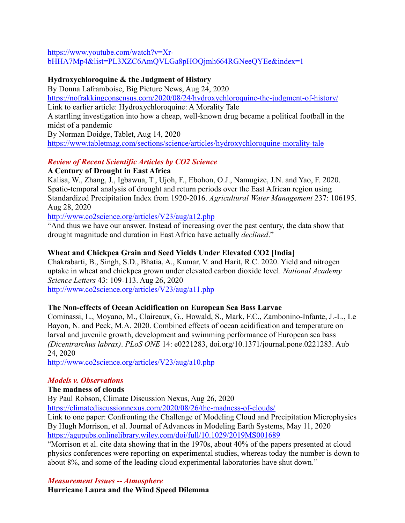[https://www.youtube.com/watch?v=Xr-](https://www.youtube.com/watch?v=Xr-bHHA7Mp4&list=PL3XZC6AmQVLGa8pHOQjmh664RGNeeQYEe&index=1)

[bHHA7Mp4&list=PL3XZC6AmQVLGa8pHOQjmh664RGNeeQYEe&index=1](https://www.youtube.com/watch?v=Xr-bHHA7Mp4&list=PL3XZC6AmQVLGa8pHOQjmh664RGNeeQYEe&index=1)

## **Hydroxychloroquine & the Judgment of History**

By Donna Laframboise, Big Picture News, Aug 24, 2020 <https://nofrakkingconsensus.com/2020/08/24/hydroxychloroquine-the-judgment-of-history/> Link to earlier article: Hydroxychloroquine: A Morality Tale A startling investigation into how a cheap, well-known drug became a political football in the midst of a pandemic By Norman Doidge, Tablet, Aug 14, 2020 <https://www.tabletmag.com/sections/science/articles/hydroxychloroquine-morality-tale>

# *Review of Recent Scientific Articles by CO2 Science*

## **A Century of Drought in East Africa**

Kalisa, W., Zhang, J., Igbawua, T., Ujoh, F., Ebohon, O.J., Namugize, J.N. and Yao, F. 2020. Spatio-temporal analysis of drought and return periods over the East African region using Standardized Precipitation Index from 1920-2016. *Agricultural Water Management* 237: 106195. Aug 28, 2020

<http://www.co2science.org/articles/V23/aug/a12.php>

"And thus we have our answer. Instead of increasing over the past century, the data show that drought magnitude and duration in East Africa have actually *declined*."

# **Wheat and Chickpea Grain and Seed Yields Under Elevated CO2 [India]**

Chakrabarti, B., Singh, S.D., Bhatia, A., Kumar, V. and Harit, R.C. 2020. Yield and nitrogen uptake in wheat and chickpea grown under elevated carbon dioxide level. *National Academy Science Letters* 43: 109-113. Aug 26, 2020

<http://www.co2science.org/articles/V23/aug/a11.php>

# **The Non-effects of Ocean Acidification on European Sea Bass Larvae**

Cominassi, L., Moyano, M., Claireaux, G., Howald, S., Mark, F.C., Zambonino-Infante, J.-L., Le Bayon, N. and Peck, M.A. 2020. Combined effects of ocean acidification and temperature on larval and juvenile growth, development and swimming performance of European sea bass *(Dicentrarchus labrax)*. *PLoS ONE* 14: e0221283, doi.org/10.1371/journal.pone.0221283. Aub 24, 2020

<http://www.co2science.org/articles/V23/aug/a10.php>

## *Models v. Observations*

## **The madness of clouds**

By Paul Robson, Climate Discussion Nexus, Aug 26, 2020

<https://climatediscussionnexus.com/2020/08/26/the-madness-of-clouds/>

Link to one paper: Confronting the Challenge of Modeling Cloud and Precipitation Microphysics By Hugh Morrison, et al. Journal of Advances in Modeling Earth Systems, May 11, 2020 <https://agupubs.onlinelibrary.wiley.com/doi/full/10.1029/2019MS001689>

"Morrison et al. cite data showing that in the 1970s, about 40% of the papers presented at cloud physics conferences were reporting on experimental studies, whereas today the number is down to about 8%, and some of the leading cloud experimental laboratories have shut down."

## *Measurement Issues -- Atmosphere*

**Hurricane Laura and the Wind Speed Dilemma**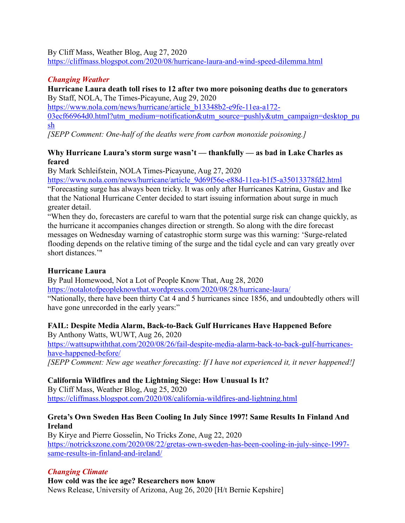By Cliff Mass, Weather Blog, Aug 27, 2020

<https://cliffmass.blogspot.com/2020/08/hurricane-laura-and-wind-speed-dilemma.html>

# *Changing Weather*

#### **Hurricane Laura death toll rises to 12 after two more poisoning deaths due to generators** By Staff, NOLA, The Times-Picayune, Aug 29, 2020

[https://www.nola.com/news/hurricane/article\\_b13348b2-e9fe-11ea-a172-](https://www.nola.com/news/hurricane/article_b13348b2-e9fe-11ea-a172-03ecf66964d0.html?utm_medium=notification&utm_source=pushly&utm_campaign=desktop_push)

[03ecf66964d0.html?utm\\_medium=notification&utm\\_source=pushly&utm\\_campaign=desktop\\_pu](https://www.nola.com/news/hurricane/article_b13348b2-e9fe-11ea-a172-03ecf66964d0.html?utm_medium=notification&utm_source=pushly&utm_campaign=desktop_push) [sh](https://www.nola.com/news/hurricane/article_b13348b2-e9fe-11ea-a172-03ecf66964d0.html?utm_medium=notification&utm_source=pushly&utm_campaign=desktop_push)

*[SEPP Comment: One-half of the deaths were from carbon monoxide poisoning.]*

# **Why Hurricane Laura's storm surge wasn't — thankfully — as bad in Lake Charles as feared**

By Mark Schleifstein, NOLA Times-Picayune, Aug 27, 2020

[https://www.nola.com/news/hurricane/article\\_9d69f56e-e88d-11ea-b1f5-a35013378fd2.html](https://www.nola.com/news/hurricane/article_9d69f56e-e88d-11ea-b1f5-a35013378fd2.html)

"Forecasting surge has always been tricky. It was only after Hurricanes Katrina, Gustav and Ike that the National Hurricane Center decided to start issuing information about surge in much greater detail.

"When they do, forecasters are careful to warn that the potential surge risk can change quickly, as the hurricane it accompanies changes direction or strength. So along with the dire forecast messages on Wednesday warning of catastrophic storm surge was this warning: 'Surge-related flooding depends on the relative timing of the surge and the tidal cycle and can vary greatly over short distances.'"

# **Hurricane Laura**

By Paul Homewood, Not a Lot of People Know That, Aug 28, 2020 <https://notalotofpeopleknowthat.wordpress.com/2020/08/28/hurricane-laura/> "Nationally, there have been thirty Cat 4 and 5 hurricanes since 1856, and undoubtedly others will have gone unrecorded in the early years:"

# **FAIL: Despite Media Alarm, Back-to-Back Gulf Hurricanes Have Happened Before**

By Anthony Watts, WUWT, Aug 26, 2020 [https://wattsupwiththat.com/2020/08/26/fail-despite-media-alarm-back-to-back-gulf-hurricanes](https://wattsupwiththat.com/2020/08/26/fail-despite-media-alarm-back-to-back-gulf-hurricanes-have-happened-before/)[have-happened-before/](https://wattsupwiththat.com/2020/08/26/fail-despite-media-alarm-back-to-back-gulf-hurricanes-have-happened-before/)

*[SEPP Comment: New age weather forecasting: If I have not experienced it, it never happened!]*

# **California Wildfires and the Lightning Siege: How Unusual Is It?**

By Cliff Mass, Weather Blog, Aug 25, 2020 <https://cliffmass.blogspot.com/2020/08/california-wildfires-and-lightning.html>

# **Greta's Own Sweden Has Been Cooling In July Since 1997! Same Results In Finland And Ireland**

By Kirye and Pierre Gosselin, No Tricks Zone, Aug 22, 2020 [https://notrickszone.com/2020/08/22/gretas-own-sweden-has-been-cooling-in-july-since-1997](https://notrickszone.com/2020/08/22/gretas-own-sweden-has-been-cooling-in-july-since-1997-same-results-in-finland-and-ireland/) [same-results-in-finland-and-ireland/](https://notrickszone.com/2020/08/22/gretas-own-sweden-has-been-cooling-in-july-since-1997-same-results-in-finland-and-ireland/)

# *Changing Climate*

**How cold was the ice age? Researchers now know** News Release, University of Arizona, Aug 26, 2020 [H/t Bernie Kepshire]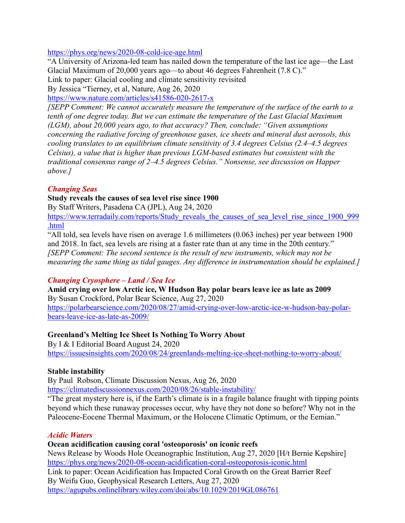<https://phys.org/news/2020-08-cold-ice-age.html>

"A University of Arizona-led team has nailed down the temperature of the last ice age—the Last Glacial Maximum of 20,000 years ago—to about 46 degrees Fahrenheit (7.8 C)." Link to paper: Glacial cooling and climate sensitivity revisited

By Jessica "Tierney, et al, Nature, Aug 26, 2020

<https://www.nature.com/articles/s41586-020-2617-x>

*[SEPP Comment: We cannot accurately measure the temperature of the surface of the earth to a tenth of one degree today. But we can estimate the temperature of the Last Glacial Maximum (LGM), about 20,000 years ago, to that accuracy? Then, conclude: "Given assumptions concerning the radiative forcing of greenhouse gases, ice sheets and mineral dust aerosols, this cooling translates to an equilibrium climate sensitivity of 3.4 degrees Celsius (2.4–4.5 degrees Celsius), a value that is higher than previous LGM-based estimates but consistent with the traditional consensus range of 2–4.5 degrees Celsius." Nonsense, see discussion on Happer above.]*

#### *Changing Seas*

#### **Study reveals the causes of sea level rise since 1900**

By Staff Writers, Pasadena CA (JPL), Aug 24, 2020

[https://www.terradaily.com/reports/Study\\_reveals\\_the\\_causes\\_of\\_sea\\_level\\_rise\\_since\\_1900\\_999](https://www.terradaily.com/reports/Study_reveals_the_causes_of_sea_level_rise_since_1900_999.html) [.html](https://www.terradaily.com/reports/Study_reveals_the_causes_of_sea_level_rise_since_1900_999.html)

"All told, sea levels have risen on average 1.6 millimeters (0.063 inches) per year between 1900 and 2018. In fact, sea levels are rising at a faster rate than at any time in the 20th century." *[SEPP Comment: The second sentence is the result of new instruments, which may not be measuring the same thing as tidal gauges. Any difference in instrumentation should be explained.]*

## *Changing Cryosphere – Land / Sea Ice*

**Amid crying over low Arctic ice, W Hudson Bay polar bears leave ice as late as 2009** By Susan Crockford, Polar Bear Science, Aug 27, 2020 [https://polarbearscience.com/2020/08/27/amid-crying-over-low-arctic-ice-w-hudson-bay-polar](https://polarbearscience.com/2020/08/27/amid-crying-over-low-arctic-ice-w-hudson-bay-polar-bears-leave-ice-as-late-as-2009/)[bears-leave-ice-as-late-as-2009/](https://polarbearscience.com/2020/08/27/amid-crying-over-low-arctic-ice-w-hudson-bay-polar-bears-leave-ice-as-late-as-2009/)

## **Greenland's Melting Ice Sheet Is Nothing To Worry About**

By I & I Editorial Board August 24, 2020 <https://issuesinsights.com/2020/08/24/greenlands-melting-ice-sheet-nothing-to-worry-about/>

#### **Stable instability**

By Paul Robson, Climate Discussion Nexus, Aug 26, 2020

<https://climatediscussionnexus.com/2020/08/26/stable-instability/>

"The great mystery here is, if the Earth's climate is in a fragile balance fraught with tipping points beyond which these runaway processes occur, why have they not done so before? Why not in the Paleocene-Eocene Thermal Maximum, or the Holocene Climatic Optimum, or the Eemian."

#### *Acidic Waters*

#### **Ocean acidification causing coral 'osteoporosis' on iconic reefs**

News Release by Woods Hole Oceanographic Institution, Aug 27, 2020 [H/t Bernie Kepshire] <https://phys.org/news/2020-08-ocean-acidification-coral-osteoporosis-iconic.html> Link to paper: Ocean Acidification has Impacted Coral Growth on the Great Barrier Reef By Weifu Guo, Geophysical Research Letters, Aug 27, 2020 <https://agupubs.onlinelibrary.wiley.com/doi/abs/10.1029/2019GL086761>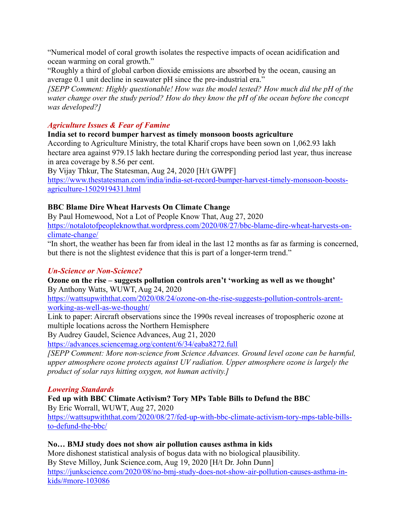"Numerical model of coral growth isolates the respective impacts of ocean acidification and ocean warming on coral growth."

"Roughly a third of global carbon dioxide emissions are absorbed by the ocean, causing an average 0.1 unit decline in seawater pH since the pre-industrial era."

*[SEPP Comment: Highly questionable! How was the model tested? How much did the pH of the water change over the study period? How do they know the pH of the ocean before the concept was developed?]*

## *Agriculture Issues & Fear of Famine*

## **India set to record bumper harvest as timely monsoon boosts agriculture**

According to Agriculture Ministry, the total Kharif crops have been sown on 1,062.93 lakh hectare area against 979.15 lakh hectare during the corresponding period last year, thus increase in area coverage by 8.56 per cent.

By Vijay Thkur, The Statesman, Aug 24, 2020 [H/t GWPF]

[https://www.thestatesman.com/india/india-set-record-bumper-harvest-timely-monsoon-boosts](https://www.thestatesman.com/india/india-set-record-bumper-harvest-timely-monsoon-boosts-agriculture-1502919431.html)[agriculture-1502919431.html](https://www.thestatesman.com/india/india-set-record-bumper-harvest-timely-monsoon-boosts-agriculture-1502919431.html)

## **BBC Blame Dire Wheat Harvests On Climate Change**

By Paul Homewood, Not a Lot of People Know That, Aug 27, 2020 [https://notalotofpeopleknowthat.wordpress.com/2020/08/27/bbc-blame-dire-wheat-harvests-on](https://notalotofpeopleknowthat.wordpress.com/2020/08/27/bbc-blame-dire-wheat-harvests-on-climate-change/)[climate-change/](https://notalotofpeopleknowthat.wordpress.com/2020/08/27/bbc-blame-dire-wheat-harvests-on-climate-change/)

"In short, the weather has been far from ideal in the last 12 months as far as farming is concerned, but there is not the slightest evidence that this is part of a longer-term trend."

## *Un-Science or Non-Science?*

**Ozone on the rise – suggests pollution controls aren't 'working as well as we thought'** By Anthony Watts, WUWT, Aug 24, 2020

[https://wattsupwiththat.com/2020/08/24/ozone-on-the-rise-suggests-pollution-controls-arent](https://wattsupwiththat.com/2020/08/24/ozone-on-the-rise-suggests-pollution-controls-arent-working-as-well-as-we-thought/)[working-as-well-as-we-thought/](https://wattsupwiththat.com/2020/08/24/ozone-on-the-rise-suggests-pollution-controls-arent-working-as-well-as-we-thought/)

Link to paper: Aircraft observations since the 1990s reveal increases of tropospheric ozone at multiple locations across the Northern Hemisphere

By Audrey Gaudel, Science Advances, Aug 21, 2020

<https://advances.sciencemag.org/content/6/34/eaba8272.full>

*[SEPP Comment: More non-science from Science Advances. Ground level ozone can be harmful, upper atmosphere ozone protects against UV radiation. Upper atmosphere ozone is largely the product of solar rays hitting oxygen, not human activity.]*

## *Lowering Standards*

**Fed up with BBC Climate Activism? Tory MPs Table Bills to Defund the BBC** By Eric Worrall, WUWT, Aug 27, 2020 [https://wattsupwiththat.com/2020/08/27/fed-up-with-bbc-climate-activism-tory-mps-table-bills-](https://wattsupwiththat.com/2020/08/27/fed-up-with-bbc-climate-activism-tory-mps-table-bills-to-defund-the-bbc/)

[to-defund-the-bbc/](https://wattsupwiththat.com/2020/08/27/fed-up-with-bbc-climate-activism-tory-mps-table-bills-to-defund-the-bbc/)

## **No… BMJ study does not show air pollution causes asthma in kids**

More dishonest statistical analysis of bogus data with no biological plausibility. By Steve Milloy, Junk Science.com, Aug 19, 2020 [H/t Dr. John Dunn] [https://junkscience.com/2020/08/no-bmj-study-does-not-show-air-pollution-causes-asthma-in](https://junkscience.com/2020/08/no-bmj-study-does-not-show-air-pollution-causes-asthma-in-kids/#more-103086)[kids/#more-103086](https://junkscience.com/2020/08/no-bmj-study-does-not-show-air-pollution-causes-asthma-in-kids/#more-103086)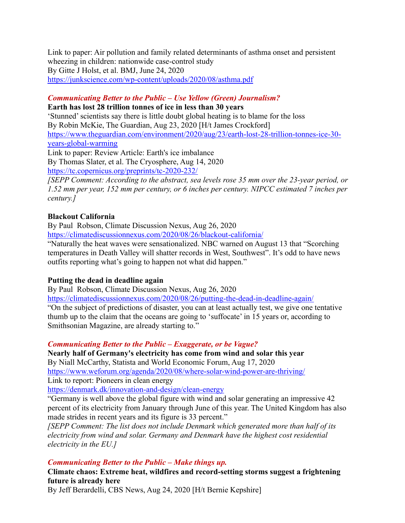Link to paper: Air pollution and family related determinants of asthma onset and persistent wheezing in children: nationwide case-control study By Gitte J Holst, et al. BMJ, June 24, 2020 <https://junkscience.com/wp-content/uploads/2020/08/asthma.pdf>

# *Communicating Better to the Public – Use Yellow (Green) Journalism?*

**Earth has lost 28 trillion tonnes of ice in less than 30 years**

'Stunned' scientists say there is little doubt global heating is to blame for the loss By Robin McKie, The Guardian, Aug 23, 2020 [H/t James Crockford] [https://www.theguardian.com/environment/2020/aug/23/earth-lost-28-trillion-tonnes-ice-30](https://www.theguardian.com/environment/2020/aug/23/earth-lost-28-trillion-tonnes-ice-30-years-global-warming) [years-global-warming](https://www.theguardian.com/environment/2020/aug/23/earth-lost-28-trillion-tonnes-ice-30-years-global-warming)

Link to paper: Review Article: Earth's ice imbalance By Thomas Slater, et al. The Cryosphere, Aug 14, 2020 <https://tc.copernicus.org/preprints/tc-2020-232/>

*[SEPP Comment: According to the abstract, sea levels rose 35 mm over the 23-year period, or 1.52 mm per year, 152 mm per century, or 6 inches per century. NIPCC estimated 7 inches per century.]*

## **Blackout California**

By Paul Robson, Climate Discussion Nexus, Aug 26, 2020 <https://climatediscussionnexus.com/2020/08/26/blackout-california/>

"Naturally the heat waves were sensationalized. NBC warned on August 13 that "Scorching temperatures in Death Valley will shatter records in West, Southwest". It's odd to have news outfits reporting what's going to happen not what did happen."

# **Putting the dead in deadline again**

By Paul Robson, Climate Discussion Nexus, Aug 26, 2020

<https://climatediscussionnexus.com/2020/08/26/putting-the-dead-in-deadline-again/>

"On the subject of predictions of disaster, you can at least actually test, we give one tentative thumb up to the claim that the oceans are going to 'suffocate' in 15 years or, according to Smithsonian Magazine, are already starting to."

*Communicating Better to the Public – Exaggerate, or be Vague?*

**Nearly half of Germany's electricity has come from wind and solar this year**

By Niall McCarthy, Statista and World Economic Forum, Aug 17, 2020 <https://www.weforum.org/agenda/2020/08/where-solar-wind-power-are-thriving/> Link to report: Pioneers in clean energy

<https://denmark.dk/innovation-and-design/clean-energy>

"Germany is well above the global figure with wind and solar generating an impressive 42 percent of its electricity from January through June of this year. The United Kingdom has also made strides in recent years and its figure is 33 percent."

*[SEPP Comment: The list does not include Denmark which generated more than half of its electricity from wind and solar. Germany and Denmark have the highest cost residential electricity in the EU.]*

*Communicating Better to the Public – Make things up.* 

**Climate chaos: Extreme heat, wildfires and record-setting storms suggest a frightening future is already here**

By Jeff Berardelli, CBS News, Aug 24, 2020 [H/t Bernie Kepshire]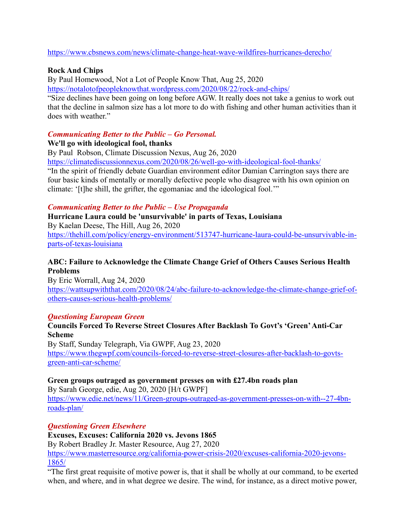<https://www.cbsnews.com/news/climate-change-heat-wave-wildfires-hurricanes-derecho/>

## **Rock And Chips**

By Paul Homewood, Not a Lot of People Know That, Aug 25, 2020

<https://notalotofpeopleknowthat.wordpress.com/2020/08/22/rock-and-chips/>

"Size declines have been going on long before AGW. It really does not take a genius to work out that the decline in salmon size has a lot more to do with fishing and other human activities than it does with weather."

## *Communicating Better to the Public – Go Personal.*

## **We'll go with ideological fool, thanks**

By Paul Robson, Climate Discussion Nexus, Aug 26, 2020

<https://climatediscussionnexus.com/2020/08/26/well-go-with-ideological-fool-thanks/>

"In the spirit of friendly debate Guardian environment editor Damian Carrington says there are four basic kinds of mentally or morally defective people who disagree with his own opinion on climate: '[t]he shill, the grifter, the egomaniac and the ideological fool.'"

## *Communicating Better to the Public – Use Propaganda*

**Hurricane Laura could be 'unsurvivable' in parts of Texas, Louisiana** By Kaelan Deese, The Hill, Aug 26, 2020 [https://thehill.com/policy/energy-environment/513747-hurricane-laura-could-be-unsurvivable-in](https://thehill.com/policy/energy-environment/513747-hurricane-laura-could-be-unsurvivable-in-parts-of-texas-louisiana)[parts-of-texas-louisiana](https://thehill.com/policy/energy-environment/513747-hurricane-laura-could-be-unsurvivable-in-parts-of-texas-louisiana)

# **ABC: Failure to Acknowledge the Climate Change Grief of Others Causes Serious Health Problems**

By Eric Worrall, Aug 24, 2020 [https://wattsupwiththat.com/2020/08/24/abc-failure-to-acknowledge-the-climate-change-grief-of](https://wattsupwiththat.com/2020/08/24/abc-failure-to-acknowledge-the-climate-change-grief-of-others-causes-serious-health-problems/)[others-causes-serious-health-problems/](https://wattsupwiththat.com/2020/08/24/abc-failure-to-acknowledge-the-climate-change-grief-of-others-causes-serious-health-problems/)

## *Questioning European Green*

## **Councils Forced To Reverse Street Closures After Backlash To Govt's 'Green' Anti-Car Scheme**

By Staff, Sunday Telegraph, Via GWPF, Aug 23, 2020 [https://www.thegwpf.com/councils-forced-to-reverse-street-closures-after-backlash-to-govts](https://www.thegwpf.com/councils-forced-to-reverse-street-closures-after-backlash-to-govts-green-anti-car-scheme/)[green-anti-car-scheme/](https://www.thegwpf.com/councils-forced-to-reverse-street-closures-after-backlash-to-govts-green-anti-car-scheme/)

# **Green groups outraged as government presses on with £27.4bn roads plan**

By Sarah George, edie, Aug 20, 2020 [H/t GWPF] [https://www.edie.net/news/11/Green-groups-outraged-as-government-presses-on-with--27-4bn](https://www.edie.net/news/11/Green-groups-outraged-as-government-presses-on-with--27-4bn-roads-plan/)[roads-plan/](https://www.edie.net/news/11/Green-groups-outraged-as-government-presses-on-with--27-4bn-roads-plan/)

# *Questioning Green Elsewhere*

**Excuses, Excuses: California 2020 vs. Jevons 1865**

By Robert Bradley Jr. Master Resource, Aug 27, 2020

[https://www.masterresource.org/california-power-crisis-2020/excuses-california-2020-jevons-](https://www.masterresource.org/california-power-crisis-2020/excuses-california-2020-jevons-1865/)[1865/](https://www.masterresource.org/california-power-crisis-2020/excuses-california-2020-jevons-1865/)

"The first great requisite of motive power is, that it shall be wholly at our command, to be exerted when, and where, and in what degree we desire. The wind, for instance, as a direct motive power,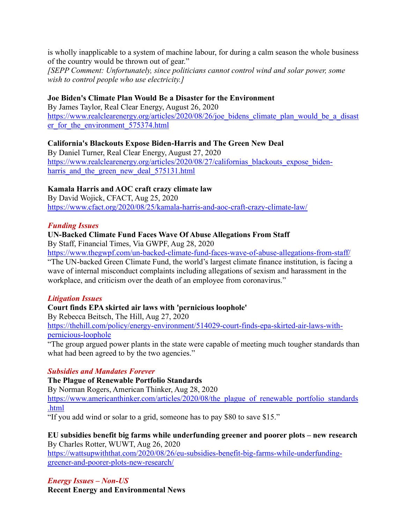is wholly inapplicable to a system of machine labour, for during a calm season the whole business of the country would be thrown out of gear."

*[SEPP Comment: Unfortunately, since politicians cannot control wind and solar power, some wish to control people who use electricity.]*

#### **Joe Biden's Climate Plan Would Be a Disaster for the Environment**

By James Taylor, Real Clear Energy, August 26, 2020 https://www.realclearenergy.org/articles/2020/08/26/joe bidens climate plan would be a disast er for the environment 575374.html

#### **California's Blackouts Expose Biden-Harris and The Green New Deal**

By Daniel Turner, Real Clear Energy, August 27, 2020 https://www.realclearenergy.org/articles/2020/08/27/californias blackouts expose bidenharris and the green new deal 575131.html

#### **Kamala Harris and AOC craft crazy climate law**

By David Wojick, CFACT, Aug 25, 2020 <https://www.cfact.org/2020/08/25/kamala-harris-and-aoc-craft-crazy-climate-law/>

#### *Funding Issues*

#### **UN-Backed Climate Fund Faces Wave Of Abuse Allegations From Staff**

By Staff, Financial Times, Via GWPF, Aug 28, 2020

<https://www.thegwpf.com/un-backed-climate-fund-faces-wave-of-abuse-allegations-from-staff/> "The UN-backed Green Climate Fund, the world's largest climate finance institution, is facing a wave of internal misconduct complaints including allegations of sexism and harassment in the workplace, and criticism over the death of an employee from coronavirus."

#### *Litigation Issues*

## **Court finds EPA skirted air laws with 'pernicious loophole'**

By Rebecca Beitsch, The Hill, Aug 27, 2020

[https://thehill.com/policy/energy-environment/514029-court-finds-epa-skirted-air-laws-with](https://thehill.com/policy/energy-environment/514029-court-finds-epa-skirted-air-laws-with-pernicious-loophole)[pernicious-loophole](https://thehill.com/policy/energy-environment/514029-court-finds-epa-skirted-air-laws-with-pernicious-loophole)

"The group argued power plants in the state were capable of meeting much tougher standards than what had been agreed to by the two agencies."

#### *Subsidies and Mandates Forever*

#### **The Plague of Renewable Portfolio Standards**

By Norman Rogers, American Thinker, Aug 28, 2020

[https://www.americanthinker.com/articles/2020/08/the\\_plague\\_of\\_renewable\\_portfolio\\_standards](https://www.americanthinker.com/articles/2020/08/the_plague_of_renewable_portfolio_standards.html) [.html](https://www.americanthinker.com/articles/2020/08/the_plague_of_renewable_portfolio_standards.html)

"If you add wind or solar to a grid, someone has to pay \$80 to save \$15."

#### **EU subsidies benefit big farms while underfunding greener and poorer plots – new research** By Charles Rotter, WUWT, Aug 26, 2020

[https://wattsupwiththat.com/2020/08/26/eu-subsidies-benefit-big-farms-while-underfunding](https://wattsupwiththat.com/2020/08/26/eu-subsidies-benefit-big-farms-while-underfunding-greener-and-poorer-plots-new-research/)[greener-and-poorer-plots-new-research/](https://wattsupwiththat.com/2020/08/26/eu-subsidies-benefit-big-farms-while-underfunding-greener-and-poorer-plots-new-research/)

#### *Energy Issues – Non-US* **Recent Energy and Environmental News**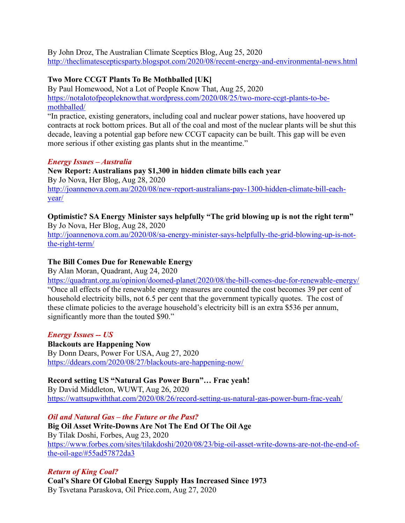By John Droz, The Australian Climate Sceptics Blog, Aug 25, 2020 <http://theclimatescepticsparty.blogspot.com/2020/08/recent-energy-and-environmental-news.html>

## **Two More CCGT Plants To Be Mothballed [UK]**

By Paul Homewood, Not a Lot of People Know That, Aug 25, 2020 [https://notalotofpeopleknowthat.wordpress.com/2020/08/25/two-more-ccgt-plants-to-be](https://notalotofpeopleknowthat.wordpress.com/2020/08/25/two-more-ccgt-plants-to-be-mothballed/)[mothballed/](https://notalotofpeopleknowthat.wordpress.com/2020/08/25/two-more-ccgt-plants-to-be-mothballed/)

"In practice, existing generators, including coal and nuclear power stations, have hoovered up contracts at rock bottom prices. But all of the coal and most of the nuclear plants will be shut this decade, leaving a potential gap before new CCGT capacity can be built. This gap will be even more serious if other existing gas plants shut in the meantime."

## *Energy Issues – Australia*

**New Report: Australians pay \$1,300 in hidden climate bills each year** By Jo Nova, Her Blog, Aug 28, 2020 [http://joannenova.com.au/2020/08/new-report-australians-pay-1300-hidden-climate-bill-each](http://joannenova.com.au/2020/08/new-report-australians-pay-1300-hidden-climate-bill-each-year/)[year/](http://joannenova.com.au/2020/08/new-report-australians-pay-1300-hidden-climate-bill-each-year/)

# **Optimistic? SA Energy Minister says helpfully "The grid blowing up is not the right term"**

By Jo Nova, Her Blog, Aug 28, 2020 [http://joannenova.com.au/2020/08/sa-energy-minister-says-helpfully-the-grid-blowing-up-is-not](http://joannenova.com.au/2020/08/sa-energy-minister-says-helpfully-the-grid-blowing-up-is-not-the-right-term/)[the-right-term/](http://joannenova.com.au/2020/08/sa-energy-minister-says-helpfully-the-grid-blowing-up-is-not-the-right-term/)

## **The Bill Comes Due for Renewable Energy**

By Alan Moran, Quadrant, Aug 24, 2020

<https://quadrant.org.au/opinion/doomed-planet/2020/08/the-bill-comes-due-for-renewable-energy/> "Once all effects of the renewable energy measures are counted the cost becomes 39 per cent of household electricity bills, not 6.5 per cent that the government typically quotes. The cost of these climate policies to the average household's electricity bill is an extra \$536 per annum, significantly more than the touted \$90."

## *Energy Issues -- US*

**Blackouts are Happening Now** By Donn Dears, Power For USA, Aug 27, 2020 <https://ddears.com/2020/08/27/blackouts-are-happening-now/>

## **Record setting US "Natural Gas Power Burn"… Frac yeah!**

By David Middleton, WUWT, Aug 26, 2020 <https://wattsupwiththat.com/2020/08/26/record-setting-us-natural-gas-power-burn-frac-yeah/>

*Oil and Natural Gas – the Future or the Past?*

**Big Oil Asset Write-Downs Are Not The End Of The Oil Age** By Tilak Doshi, Forbes, Aug 23, 2020 [https://www.forbes.com/sites/tilakdoshi/2020/08/23/big-oil-asset-write-downs-are-not-the-end-of](https://www.forbes.com/sites/tilakdoshi/2020/08/23/big-oil-asset-write-downs-are-not-the-end-of-the-oil-age/#55ad57872da3)[the-oil-age/#55ad57872da3](https://www.forbes.com/sites/tilakdoshi/2020/08/23/big-oil-asset-write-downs-are-not-the-end-of-the-oil-age/#55ad57872da3)

# *Return of King Coal?*

**Coal's Share Of Global Energy Supply Has Increased Since 1973** By Tsvetana Paraskova, Oil Price.com, Aug 27, 2020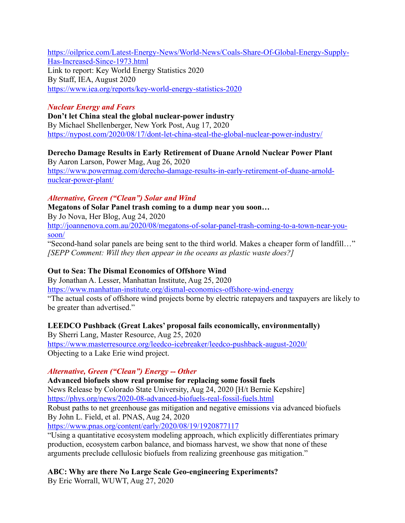[https://oilprice.com/Latest-Energy-News/World-News/Coals-Share-Of-Global-Energy-Supply-](https://oilprice.com/Latest-Energy-News/World-News/Coals-Share-Of-Global-Energy-Supply-Has-Increased-Since-1973.html)[Has-Increased-Since-1973.html](https://oilprice.com/Latest-Energy-News/World-News/Coals-Share-Of-Global-Energy-Supply-Has-Increased-Since-1973.html) Link to report: Key World Energy Statistics 2020 By Staff, IEA, August 2020

<https://www.iea.org/reports/key-world-energy-statistics-2020>

## *Nuclear Energy and Fears*

**Don't let China steal the global nuclear-power industry** By Michael Shellenberger, New York Post, Aug 17, 2020 <https://nypost.com/2020/08/17/dont-let-china-steal-the-global-nuclear-power-industry/>

# **Derecho Damage Results in Early Retirement of Duane Arnold Nuclear Power Plant**

By Aaron Larson, Power Mag, Aug 26, 2020 [https://www.powermag.com/derecho-damage-results-in-early-retirement-of-duane-arnold](https://www.powermag.com/derecho-damage-results-in-early-retirement-of-duane-arnold-nuclear-power-plant/)[nuclear-power-plant/](https://www.powermag.com/derecho-damage-results-in-early-retirement-of-duane-arnold-nuclear-power-plant/)

## *Alternative, Green ("Clean") Solar and Wind*

**Megatons of Solar Panel trash coming to a dump near you soon…**

By Jo Nova, Her Blog, Aug 24, 2020

[http://joannenova.com.au/2020/08/megatons-of-solar-panel-trash-coming-to-a-town-near-you](http://joannenova.com.au/2020/08/megatons-of-solar-panel-trash-coming-to-a-town-near-you-soon/)[soon/](http://joannenova.com.au/2020/08/megatons-of-solar-panel-trash-coming-to-a-town-near-you-soon/)

"Second-hand solar panels are being sent to the third world. Makes a cheaper form of landfill…" *[SEPP Comment: Will they then appear in the oceans as plastic waste does?]*

# **Out to Sea: The Dismal Economics of Offshore Wind**

By Jonathan A. Lesser, Manhattan Institute, Aug 25, 2020

<https://www.manhattan-institute.org/dismal-economics-offshore-wind-energy>

"The actual costs of offshore wind projects borne by electric ratepayers and taxpayers are likely to be greater than advertised."

# **LEEDCO Pushback (Great Lakes' proposal fails economically, environmentally)**

By Sherri Lang, Master Resource, Aug 25, 2020 <https://www.masterresource.org/leedco-icebreaker/leedco-pushback-august-2020/> Objecting to a Lake Erie wind project.

# *Alternative, Green ("Clean") Energy -- Other*

**Advanced biofuels show real promise for replacing some fossil fuels** News Release by Colorado State University, Aug 24, 2020 [H/t Bernie Kepshire] <https://phys.org/news/2020-08-advanced-biofuels-real-fossil-fuels.html> Robust paths to net greenhouse gas mitigation and negative emissions via advanced biofuels By John L. Field, et al. PNAS, Aug 24, 2020 <https://www.pnas.org/content/early/2020/08/19/1920877117>

"Using a quantitative ecosystem modeling approach, which explicitly differentiates primary production, ecosystem carbon balance, and biomass harvest, we show that none of these arguments preclude cellulosic biofuels from realizing greenhouse gas mitigation."

**ABC: Why are there No Large Scale Geo-engineering Experiments?**

By Eric Worrall, WUWT, Aug 27, 2020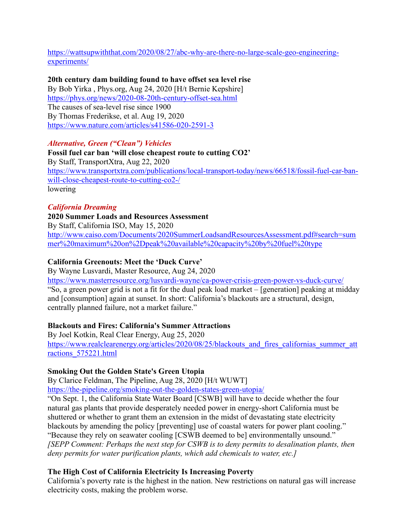[https://wattsupwiththat.com/2020/08/27/abc-why-are-there-no-large-scale-geo-engineering](https://wattsupwiththat.com/2020/08/27/abc-why-are-there-no-large-scale-geo-engineering-experiments/)[experiments/](https://wattsupwiththat.com/2020/08/27/abc-why-are-there-no-large-scale-geo-engineering-experiments/)

## **20th century dam building found to have offset sea level rise**

By Bob Yirka , Phys.org, Aug 24, 2020 [H/t Bernie Kepshire] <https://phys.org/news/2020-08-20th-century-offset-sea.html> The causes of sea-level rise since 1900 By Thomas Frederikse, et al. Aug 19, 2020 <https://www.nature.com/articles/s41586-020-2591-3>

## *Alternative, Green ("Clean") Vehicles*

**Fossil fuel car ban 'will close cheapest route to cutting CO2'** By Staff, TransportXtra, Aug 22, 2020 [https://www.transportxtra.com/publications/local-transport-today/news/66518/fossil-fuel-car-ban](https://www.transportxtra.com/publications/local-transport-today/news/66518/fossil-fuel-car-ban-will-close-cheapest-route-to-cutting-co2-/)[will-close-cheapest-route-to-cutting-co2-/](https://www.transportxtra.com/publications/local-transport-today/news/66518/fossil-fuel-car-ban-will-close-cheapest-route-to-cutting-co2-/) lowering

## *California Dreaming*

## **2020 Summer Loads and Resources Assessment**

By Staff, California ISO, May 15, 2020

[http://www.caiso.com/Documents/2020SummerLoadsandResourcesAssessment.pdf#search=sum](http://www.caiso.com/Documents/2020SummerLoadsandResourcesAssessment.pdf#search=summer%20maximum%20on%2Dpeak%20available%20capacity%20by%20fuel%20type) [mer%20maximum%20on%2Dpeak%20available%20capacity%20by%20fuel%20type](http://www.caiso.com/Documents/2020SummerLoadsandResourcesAssessment.pdf#search=summer%20maximum%20on%2Dpeak%20available%20capacity%20by%20fuel%20type)

#### **California Greenouts: Meet the 'Duck Curve'**

By Wayne Lusvardi, Master Resource, Aug 24, 2020 <https://www.masterresource.org/lusvardi-wayne/ca-power-crisis-green-power-vs-duck-curve/> "So, a green power grid is not a fit for the dual peak load market – [generation] peaking at midday and [consumption] again at sunset. In short: California's blackouts are a structural, design, centrally planned failure, not a market failure."

#### **Blackouts and Fires: California's Summer Attractions**

By Joel Kotkin, Real Clear Energy, Aug 25, 2020 https://www.realclearenergy.org/articles/2020/08/25/blackouts and fires californias summer att [ractions\\_575221.html](https://www.realclearenergy.org/articles/2020/08/25/blackouts_and_fires_californias_summer_attractions_575221.html)

#### **Smoking Out the Golden State's Green Utopia**

By Clarice Feldman, The Pipeline, Aug 28, 2020 [H/t WUWT] <https://the-pipeline.org/smoking-out-the-golden-states-green-utopia/>

"On Sept. 1, the California State Water Board [CSWB] will have to decide whether the four natural gas plants that provide desperately needed power in energy-short California must be shuttered or whether to grant them an extension in the midst of devastating state electricity blackouts by amending the policy [preventing] use of coastal waters for power plant cooling." "Because they rely on seawater cooling [CSWB deemed to be] environmentally unsound." *[SEPP Comment: Perhaps the next step for CSWB is to deny permits to desalination plants, then deny permits for water purification plants, which add chemicals to water, etc.]* 

## **The High Cost of California Electricity Is Increasing Poverty**

California's poverty rate is the highest in the nation. New restrictions on natural gas will increase electricity costs, making the problem worse.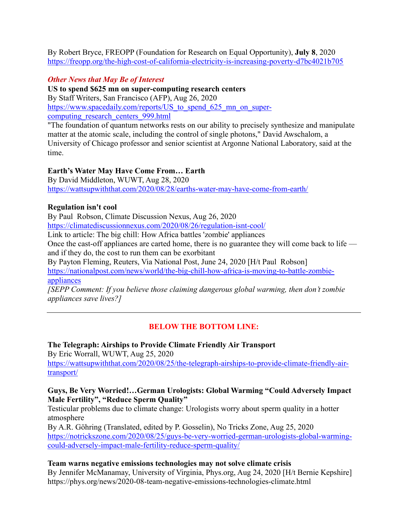By Robert Bryce, FREOPP (Foundation for Research on Equal Opportunity), **July 8**, 2020 <https://freopp.org/the-high-cost-of-california-electricity-is-increasing-poverty-d7bc4021b705>

## *Other News that May Be of Interest*

**US to spend \$625 mn on super-computing research centers**

By Staff Writers, San Francisco (AFP), Aug 26, 2020

https://www.spacedaily.com/reports/US to spend 625 mn on supercomputing research centers 999.html

"The foundation of quantum networks rests on our ability to precisely synthesize and manipulate matter at the atomic scale, including the control of single photons," David Awschalom, a University of Chicago professor and senior scientist at Argonne National Laboratory, said at the time.

## **Earth's Water May Have Come From… Earth**

By David Middleton, WUWT, Aug 28, 2020 <https://wattsupwiththat.com/2020/08/28/earths-water-may-have-come-from-earth/>

## **Regulation isn't cool**

By Paul Robson, Climate Discussion Nexus, Aug 26, 2020 <https://climatediscussionnexus.com/2020/08/26/regulation-isnt-cool/>

Link to article: The big chill: How Africa battles 'zombie' appliances

Once the cast-off appliances are carted home, there is no guarantee they will come back to life and if they do, the cost to run them can be exorbitant

By Payton Fleming, Reuters, Via National Post, June 24, 2020 [H/t Paul Robson]

[https://nationalpost.com/news/world/the-big-chill-how-africa-is-moving-to-battle-zombie](https://nationalpost.com/news/world/the-big-chill-how-africa-is-moving-to-battle-zombie-appliances)[appliances](https://nationalpost.com/news/world/the-big-chill-how-africa-is-moving-to-battle-zombie-appliances)

*[SEPP Comment: If you believe those claiming dangerous global warming, then don't zombie appliances save lives?]*

# **BELOW THE BOTTOM LINE:**

**The Telegraph: Airships to Provide Climate Friendly Air Transport** By Eric Worrall, WUWT, Aug 25, 2020 [https://wattsupwiththat.com/2020/08/25/the-telegraph-airships-to-provide-climate-friendly-air](https://wattsupwiththat.com/2020/08/25/the-telegraph-airships-to-provide-climate-friendly-air-transport/)[transport/](https://wattsupwiththat.com/2020/08/25/the-telegraph-airships-to-provide-climate-friendly-air-transport/)

#### **Guys, Be Very Worried!…German Urologists: Global Warming "Could Adversely Impact Male Fertility", "Reduce Sperm Quality"**

Testicular problems due to climate change: Urologists worry about sperm quality in a hotter atmosphere

By A.R. Göhring (Translated, edited by P. Gosselin), No Tricks Zone, Aug 25, 2020 [https://notrickszone.com/2020/08/25/guys-be-very-worried-german-urologists-global-warming](https://notrickszone.com/2020/08/25/guys-be-very-worried-german-urologists-global-warming-could-adversely-impact-male-fertility-reduce-sperm-quality/)[could-adversely-impact-male-fertility-reduce-sperm-quality/](https://notrickszone.com/2020/08/25/guys-be-very-worried-german-urologists-global-warming-could-adversely-impact-male-fertility-reduce-sperm-quality/)

## **Team warns negative emissions technologies may not solve climate crisis**

By Jennifer McManamay, University of Virginia, Phys.org, Aug 24, 2020 [H/t Bernie Kepshire] https://phys.org/news/2020-08-team-negative-emissions-technologies-climate.html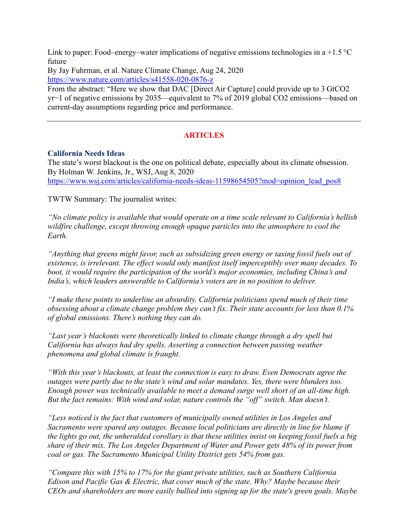Link to paper: Food–energy–water implications of negative emissions technologies in a +1.5  $\degree$ C future

By Jay Fuhrman, et al. Nature Climate Change, Aug 24, 2020 <https://www.nature.com/articles/s41558-020-0876-z>

From the abstract: "Here we show that DAC [Direct Air Capture] could provide up to 3 GtCO2 yr−1 of negative emissions by 2035—equivalent to 7% of 2019 global CO2 emissions—based on current-day assumptions regarding price and performance.

## **ARTICLES**

#### **California Needs Ideas**

The state's worst blackout is the one on political debate, especially about its climate obsession. By Holman W. Jenkins, Jr., WSJ, Aug 8, 2020 [https://www.wsj.com/articles/california-needs-ideas-11598654505?mod=opinion\\_lead\\_pos8](https://www.wsj.com/articles/california-needs-ideas-11598654505?mod=opinion_lead_pos8)

TWTW Summary: The journalist writes:

*"No climate policy is available that would operate on a time scale relevant to California's hellish wildfire challenge, except throwing enough opaque particles into the atmosphere to cool the Earth.*

*"Anything that greens might favor, such as subsidizing green energy or taxing fossil fuels out of existence, is irrelevant. The effect would only manifest itself imperceptibly over many decades. To boot, it would require the participation of the world's major economies, including China's and India's, which leaders answerable to California's voters are in no position to deliver.*

*"I make these points to underline an absurdity. California politicians spend much of their time obsessing about a climate change problem they can't fix. Their state accounts for less than 0.1% of global emissions. There's nothing they can do.*

*"Last year's blackouts were theoretically linked to climate change through a dry spell but California has always had dry spells. Asserting a connection between passing weather phenomena and global climate is fraught.*

*"With this year's blackouts, at least the connection is easy to draw. Even Democrats agree the outages were partly due to the state's wind and solar mandates. Yes, there were blunders too. Enough power was technically available to meet a demand surge well short of an all-time high. But the fact remains: With wind and solar, nature controls the "off" switch. Man doesn't.*

*"Less noticed is the fact that customers of municipally owned utilities in Los Angeles and Sacramento were spared any outages. Because local politicians are directly in line for blame if the lights go out, the unheralded corollary is that these utilities insist on keeping fossil fuels a big share of their mix. The Los Angeles Department of Water and Power gets 48% of its power from coal or gas. The Sacramento Municipal Utility District gets 54% from gas.*

*"Compare this with 15% to 17% for the giant private utilities, such as Southern California Edison and Pacific Gas & Electric, that cover much of the state. Why? Maybe because their CEOs and shareholders are more easily bullied into signing up for the state's green goals. Maybe*